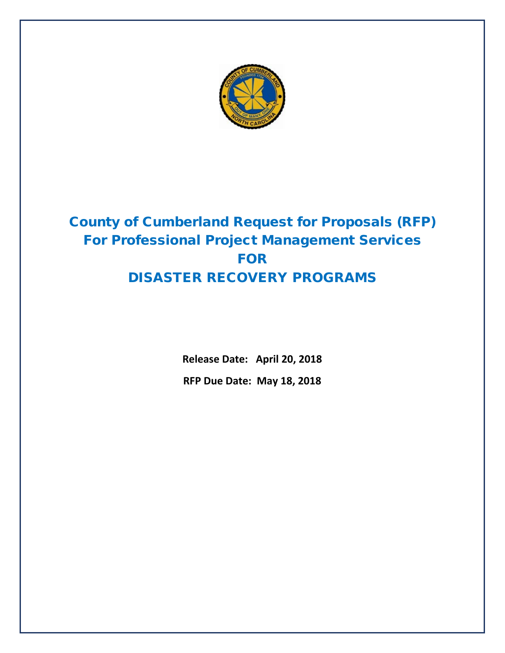

# County of Cumberland Request for Proposals (RFP) For Professional Project Management Services FOR DISASTER RECOVERY PROGRAMS

**Release Date: April 20, 2018 RFP Due Date: May 18, 2018**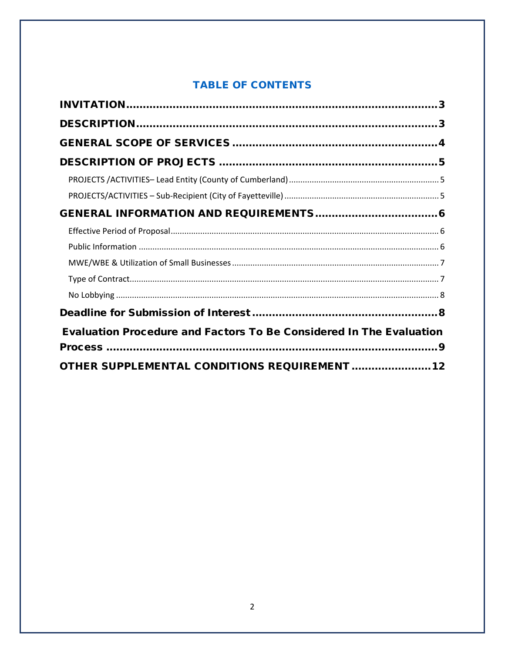# **TABLE OF CONTENTS**

| <b>Evaluation Procedure and Factors To Be Considered In The Evaluation</b> |  |
|----------------------------------------------------------------------------|--|
|                                                                            |  |
| OTHER SUPPLEMENTAL CONDITIONS REQUIREMENT 12                               |  |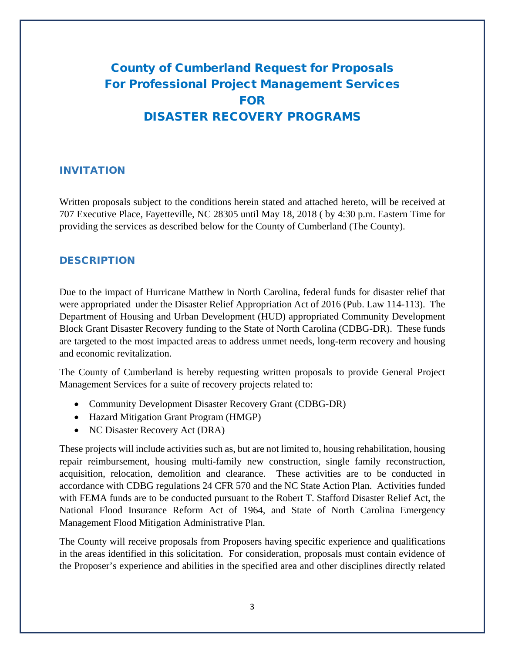# County of Cumberland Request for Proposals For Professional Project Management Services FOR DISASTER RECOVERY PROGRAMS

#### <span id="page-2-0"></span>INVITATION

Written proposals subject to the conditions herein stated and attached hereto, will be received at 707 Executive Place, Fayetteville, NC 28305 until May 18, 2018 ( by 4:30 p.m. Eastern Time for providing the services as described below for the County of Cumberland (The County).

#### <span id="page-2-1"></span>**DESCRIPTION**

Due to the impact of Hurricane Matthew in North Carolina, federal funds for disaster relief that were appropriated under the Disaster Relief Appropriation Act of 2016 (Pub. Law 114-113). The Department of Housing and Urban Development (HUD) appropriated Community Development Block Grant Disaster Recovery funding to the State of North Carolina (CDBG-DR). These funds are targeted to the most impacted areas to address unmet needs, long-term recovery and housing and economic revitalization.

The County of Cumberland is hereby requesting written proposals to provide General Project Management Services for a suite of recovery projects related to:

- Community Development Disaster Recovery Grant (CDBG-DR)
- Hazard Mitigation Grant Program (HMGP)
- NC Disaster Recovery Act (DRA)

These projects will include activities such as, but are not limited to, housing rehabilitation, housing repair reimbursement, housing multi-family new construction, single family reconstruction, acquisition, relocation, demolition and clearance. These activities are to be conducted in accordance with CDBG regulations 24 CFR 570 and the NC State Action Plan. Activities funded with FEMA funds are to be conducted pursuant to the Robert T. Stafford Disaster Relief Act, the National Flood Insurance Reform Act of 1964, and State of North Carolina Emergency Management Flood Mitigation Administrative Plan.

The County will receive proposals from Proposers having specific experience and qualifications in the areas identified in this solicitation. For consideration, proposals must contain evidence of the Proposer's experience and abilities in the specified area and other disciplines directly related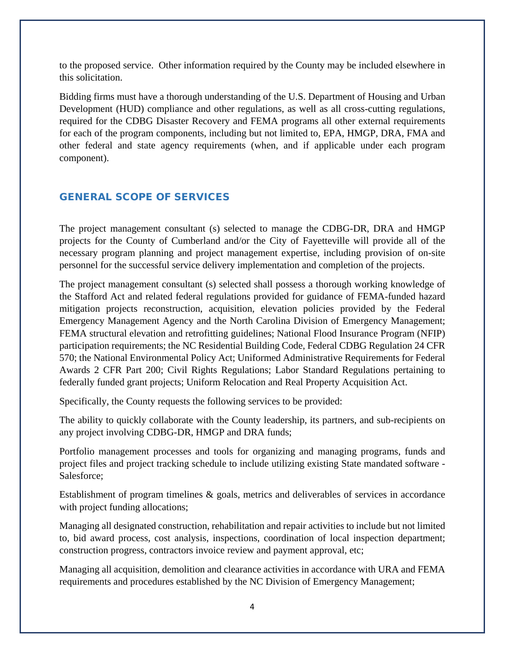to the proposed service. Other information required by the County may be included elsewhere in this solicitation.

Bidding firms must have a thorough understanding of the U.S. Department of Housing and Urban Development (HUD) compliance and other regulations, as well as all cross-cutting regulations, required for the CDBG Disaster Recovery and FEMA programs all other external requirements for each of the program components, including but not limited to, EPA, HMGP, DRA, FMA and other federal and state agency requirements (when, and if applicable under each program component).

#### <span id="page-3-0"></span>GENERAL SCOPE OF SERVICES

The project management consultant (s) selected to manage the CDBG-DR, DRA and HMGP projects for the County of Cumberland and/or the City of Fayetteville will provide all of the necessary program planning and project management expertise, including provision of on-site personnel for the successful service delivery implementation and completion of the projects.

The project management consultant (s) selected shall possess a thorough working knowledge of the Stafford Act and related federal regulations provided for guidance of FEMA-funded hazard mitigation projects reconstruction, acquisition, elevation policies provided by the Federal Emergency Management Agency and the North Carolina Division of Emergency Management; FEMA structural elevation and retrofitting guidelines; National Flood Insurance Program (NFIP) participation requirements; the NC Residential Building Code, Federal CDBG Regulation 24 CFR 570; the National Environmental Policy Act; Uniformed Administrative Requirements for Federal Awards 2 CFR Part 200; Civil Rights Regulations; Labor Standard Regulations pertaining to federally funded grant projects; Uniform Relocation and Real Property Acquisition Act.

Specifically, the County requests the following services to be provided:

The ability to quickly collaborate with the County leadership, its partners, and sub-recipients on any project involving CDBG-DR, HMGP and DRA funds;

Portfolio management processes and tools for organizing and managing programs, funds and project files and project tracking schedule to include utilizing existing State mandated software - Salesforce;

Establishment of program timelines & goals, metrics and deliverables of services in accordance with project funding allocations;

Managing all designated construction, rehabilitation and repair activities to include but not limited to, bid award process, cost analysis, inspections, coordination of local inspection department; construction progress, contractors invoice review and payment approval, etc;

Managing all acquisition, demolition and clearance activities in accordance with URA and FEMA requirements and procedures established by the NC Division of Emergency Management;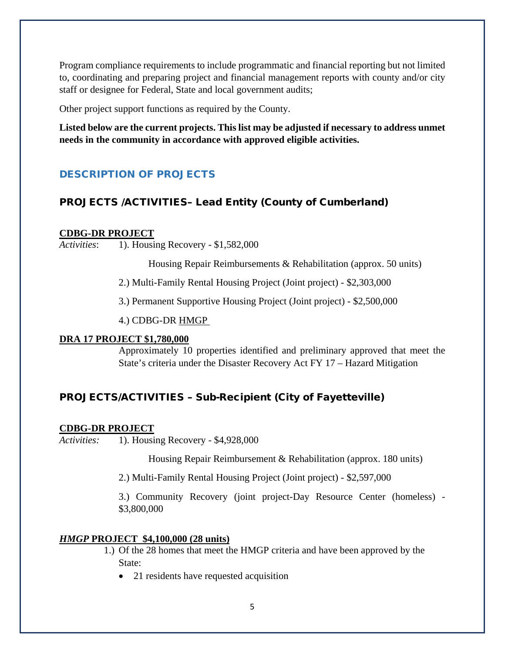Program compliance requirements to include programmatic and financial reporting but not limited to, coordinating and preparing project and financial management reports with county and/or city staff or designee for Federal, State and local government audits;

Other project support functions as required by the County.

**Listed below are the current projects. This list may be adjusted if necessary to address unmet needs in the community in accordance with approved eligible activities.**

# <span id="page-4-0"></span>DESCRIPTION OF PROJECTS

# <span id="page-4-1"></span>PROJECTS /ACTIVITIES– Lead Entity (County of Cumberland)

#### **CDBG-DR PROJECT**

*Activities*: 1). Housing Recovery - \$1,582,000

Housing Repair Reimbursements & Rehabilitation (approx. 50 units)

2.) Multi-Family Rental Housing Project (Joint project) - \$2,303,000

3.) Permanent Supportive Housing Project (Joint project) - \$2,500,000

4.) CDBG-DR HMGP

#### **DRA 17 PROJECT \$1,780,000**

Approximately 10 properties identified and preliminary approved that meet the State's criteria under the Disaster Recovery Act FY 17 – Hazard Mitigation

# <span id="page-4-2"></span>PROJECTS/ACTIVITIES – Sub-Recipient (City of Fayetteville)

#### **CDBG-DR PROJECT**

*Activities:* 1). Housing Recovery - \$4,928,000

Housing Repair Reimbursement & Rehabilitation (approx. 180 units)

2.) Multi-Family Rental Housing Project (Joint project) - \$2,597,000

3.) Community Recovery (joint project-Day Resource Center (homeless) - \$3,800,000

#### *HMGP* **PROJECT \$4,100,000 (28 units)**

- 1.) Of the 28 homes that meet the HMGP criteria and have been approved by the State:
	- 21 residents have requested acquisition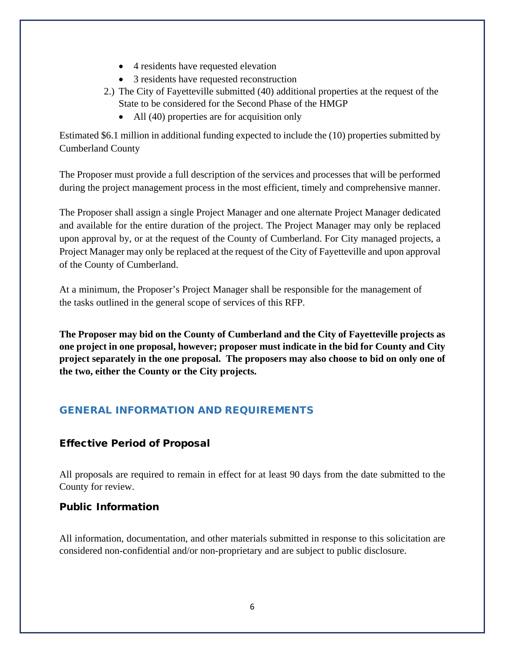- 4 residents have requested elevation
- 3 residents have requested reconstruction
- 2.) The City of Fayetteville submitted (40) additional properties at the request of the State to be considered for the Second Phase of the HMGP
	- All (40) properties are for acquisition only

Estimated \$6.1 million in additional funding expected to include the (10) properties submitted by Cumberland County

The Proposer must provide a full description of the services and processes that will be performed during the project management process in the most efficient, timely and comprehensive manner.

The Proposer shall assign a single Project Manager and one alternate Project Manager dedicated and available for the entire duration of the project. The Project Manager may only be replaced upon approval by, or at the request of the County of Cumberland. For City managed projects, a Project Manager may only be replaced at the request of the City of Fayetteville and upon approval of the County of Cumberland.

At a minimum, the Proposer's Project Manager shall be responsible for the management of the tasks outlined in the general scope of services of this RFP.

**The Proposer may bid on the County of Cumberland and the City of Fayetteville projects as one project in one proposal, however; proposer must indicate in the bid for County and City project separately in the one proposal. The proposers may also choose to bid on only one of the two, either the County or the City projects.**

# <span id="page-5-0"></span>GENERAL INFORMATION AND REQUIREMENTS

# <span id="page-5-1"></span>Effective Period of Proposal

All proposals are required to remain in effect for at least 90 days from the date submitted to the County for review.

# <span id="page-5-2"></span>Public Information

All information, documentation, and other materials submitted in response to this solicitation are considered non-confidential and/or non-proprietary and are subject to public disclosure.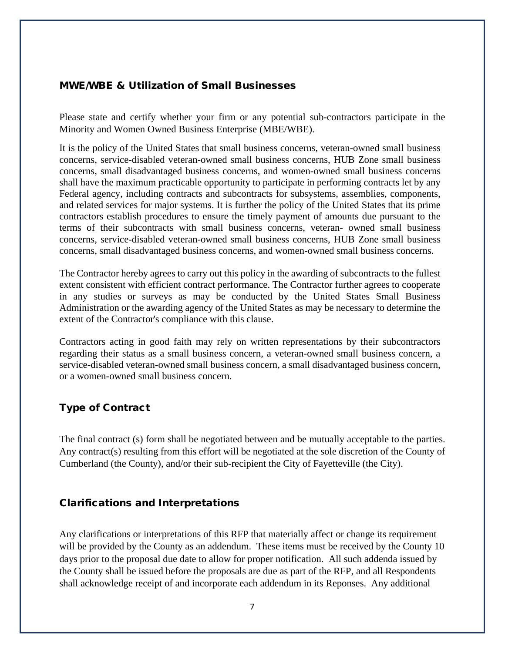#### <span id="page-6-0"></span>MWE/WBE & Utilization of Small Businesses

Please state and certify whether your firm or any potential sub-contractors participate in the Minority and Women Owned Business Enterprise (MBE/WBE).

It is the policy of the United States that small business concerns, veteran-owned small business concerns, service-disabled veteran-owned small business concerns, HUB Zone small business concerns, small disadvantaged business concerns, and women-owned small business concerns shall have the maximum practicable opportunity to participate in performing contracts let by any Federal agency, including contracts and subcontracts for subsystems, assemblies, components, and related services for major systems. It is further the policy of the United States that its prime contractors establish procedures to ensure the timely payment of amounts due pursuant to the terms of their subcontracts with small business concerns, veteran- owned small business concerns, service-disabled veteran-owned small business concerns, HUB Zone small business concerns, small disadvantaged business concerns, and women-owned small business concerns.

The Contractor hereby agrees to carry out this policy in the awarding of subcontracts to the fullest extent consistent with efficient contract performance. The Contractor further agrees to cooperate in any studies or surveys as may be conducted by the United States Small Business Administration or the awarding agency of the United States as may be necessary to determine the extent of the Contractor's compliance with this clause.

Contractors acting in good faith may rely on written representations by their subcontractors regarding their status as a small business concern, a veteran-owned small business concern, a service-disabled veteran-owned small business concern, a small disadvantaged business concern, or a women-owned small business concern.

# <span id="page-6-1"></span>Type of Contract

The final contract (s) form shall be negotiated between and be mutually acceptable to the parties. Any contract(s) resulting from this effort will be negotiated at the sole discretion of the County of Cumberland (the County), and/or their sub-recipient the City of Fayetteville (the City).

#### Clarifications and Interpretations

Any clarifications or interpretations of this RFP that materially affect or change its requirement will be provided by the County as an addendum. These items must be received by the County 10 days prior to the proposal due date to allow for proper notification. All such addenda issued by the County shall be issued before the proposals are due as part of the RFP, and all Respondents shall acknowledge receipt of and incorporate each addendum in its Reponses. Any additional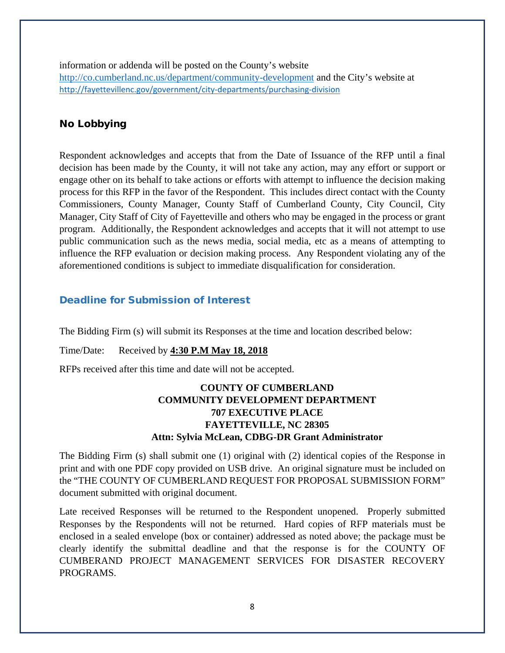information or addenda will be posted on the County's website <http://co.cumberland.nc.us/>department/community-development and the City's website at <http://fayettevillenc.gov/government/city-departments/purchasing-division>

## <span id="page-7-0"></span>No Lobbying

Respondent acknowledges and accepts that from the Date of Issuance of the RFP until a final decision has been made by the County, it will not take any action, may any effort or support or engage other on its behalf to take actions or efforts with attempt to influence the decision making process for this RFP in the favor of the Respondent. This includes direct contact with the County Commissioners, County Manager, County Staff of Cumberland County, City Council, City Manager, City Staff of City of Fayetteville and others who may be engaged in the process or grant program. Additionally, the Respondent acknowledges and accepts that it will not attempt to use public communication such as the news media, social media, etc as a means of attempting to influence the RFP evaluation or decision making process. Any Respondent violating any of the aforementioned conditions is subject to immediate disqualification for consideration.

#### <span id="page-7-1"></span>Deadline for Submission of Interest

The Bidding Firm (s) will submit its Responses at the time and location described below:

Time/Date: Received by **4:30 P.M May 18, 2018**

RFPs received after this time and date will not be accepted.

# **COUNTY OF CUMBERLAND COMMUNITY DEVELOPMENT DEPARTMENT 707 EXECUTIVE PLACE FAYETTEVILLE, NC 28305 Attn: Sylvia McLean, CDBG-DR Grant Administrator**

The Bidding Firm (s) shall submit one (1) original with (2) identical copies of the Response in print and with one PDF copy provided on USB drive. An original signature must be included on the "THE COUNTY OF CUMBERLAND REQUEST FOR PROPOSAL SUBMISSION FORM" document submitted with original document.

Late received Responses will be returned to the Respondent unopened. Properly submitted Responses by the Respondents will not be returned. Hard copies of RFP materials must be enclosed in a sealed envelope (box or container) addressed as noted above; the package must be clearly identify the submittal deadline and that the response is for the COUNTY OF CUMBERAND PROJECT MANAGEMENT SERVICES FOR DISASTER RECOVERY PROGRAMS.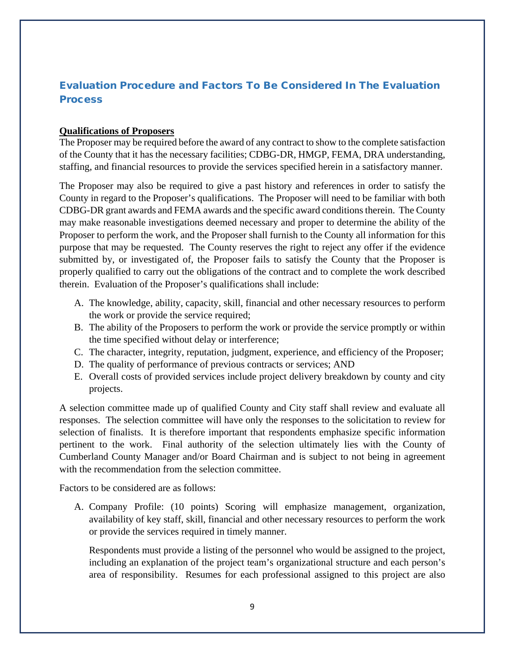# <span id="page-8-0"></span>Evaluation Procedure and Factors To Be Considered In The Evaluation **Process**

## **Qualifications of Proposers**

The Proposer may be required before the award of any contract to show to the complete satisfaction of the County that it has the necessary facilities; CDBG-DR, HMGP, FEMA, DRA understanding, staffing, and financial resources to provide the services specified herein in a satisfactory manner.

The Proposer may also be required to give a past history and references in order to satisfy the County in regard to the Proposer's qualifications. The Proposer will need to be familiar with both CDBG-DR grant awards and FEMA awards and the specific award conditions therein. The County may make reasonable investigations deemed necessary and proper to determine the ability of the Proposer to perform the work, and the Proposer shall furnish to the County all information for this purpose that may be requested. The County reserves the right to reject any offer if the evidence submitted by, or investigated of, the Proposer fails to satisfy the County that the Proposer is properly qualified to carry out the obligations of the contract and to complete the work described therein. Evaluation of the Proposer's qualifications shall include:

- A. The knowledge, ability, capacity, skill, financial and other necessary resources to perform the work or provide the service required;
- B. The ability of the Proposers to perform the work or provide the service promptly or within the time specified without delay or interference;
- C. The character, integrity, reputation, judgment, experience, and efficiency of the Proposer;
- D. The quality of performance of previous contracts or services; AND
- E. Overall costs of provided services include project delivery breakdown by county and city projects.

A selection committee made up of qualified County and City staff shall review and evaluate all responses. The selection committee will have only the responses to the solicitation to review for selection of finalists. It is therefore important that respondents emphasize specific information pertinent to the work. Final authority of the selection ultimately lies with the County of Cumberland County Manager and/or Board Chairman and is subject to not being in agreement with the recommendation from the selection committee.

Factors to be considered are as follows:

A. Company Profile: (10 points) Scoring will emphasize management, organization, availability of key staff, skill, financial and other necessary resources to perform the work or provide the services required in timely manner.

Respondents must provide a listing of the personnel who would be assigned to the project, including an explanation of the project team's organizational structure and each person's area of responsibility. Resumes for each professional assigned to this project are also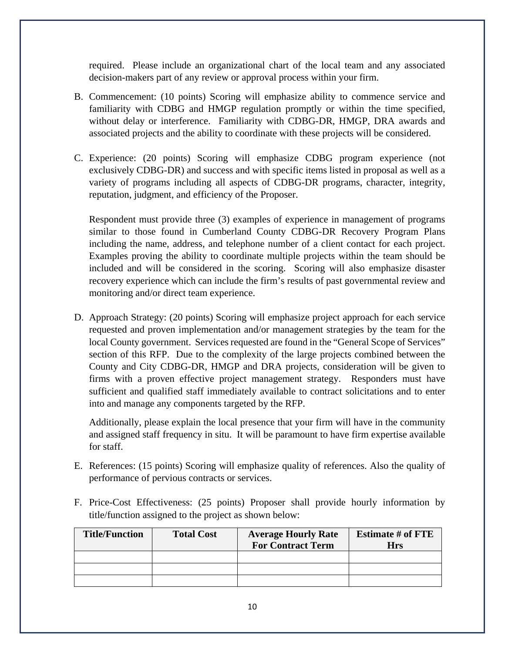required. Please include an organizational chart of the local team and any associated decision-makers part of any review or approval process within your firm.

- B. Commencement: (10 points) Scoring will emphasize ability to commence service and familiarity with CDBG and HMGP regulation promptly or within the time specified, without delay or interference. Familiarity with CDBG-DR, HMGP, DRA awards and associated projects and the ability to coordinate with these projects will be considered.
- C. Experience: (20 points) Scoring will emphasize CDBG program experience (not exclusively CDBG-DR) and success and with specific items listed in proposal as well as a variety of programs including all aspects of CDBG-DR programs, character, integrity, reputation, judgment, and efficiency of the Proposer.

Respondent must provide three (3) examples of experience in management of programs similar to those found in Cumberland County CDBG-DR Recovery Program Plans including the name, address, and telephone number of a client contact for each project. Examples proving the ability to coordinate multiple projects within the team should be included and will be considered in the scoring. Scoring will also emphasize disaster recovery experience which can include the firm's results of past governmental review and monitoring and/or direct team experience.

D. Approach Strategy: (20 points) Scoring will emphasize project approach for each service requested and proven implementation and/or management strategies by the team for the local County government. Services requested are found in the "General Scope of Services" section of this RFP. Due to the complexity of the large projects combined between the County and City CDBG-DR, HMGP and DRA projects, consideration will be given to firms with a proven effective project management strategy. Responders must have sufficient and qualified staff immediately available to contract solicitations and to enter into and manage any components targeted by the RFP.

Additionally, please explain the local presence that your firm will have in the community and assigned staff frequency in situ. It will be paramount to have firm expertise available for staff.

- E. References: (15 points) Scoring will emphasize quality of references. Also the quality of performance of pervious contracts or services.
- F. Price-Cost Effectiveness: (25 points) Proposer shall provide hourly information by title/function assigned to the project as shown below:

| <b>Title/Function</b> | <b>Total Cost</b> | <b>Average Hourly Rate</b><br><b>For Contract Term</b> | <b>Estimate # of FTE</b><br>Hrs |
|-----------------------|-------------------|--------------------------------------------------------|---------------------------------|
|                       |                   |                                                        |                                 |
|                       |                   |                                                        |                                 |
|                       |                   |                                                        |                                 |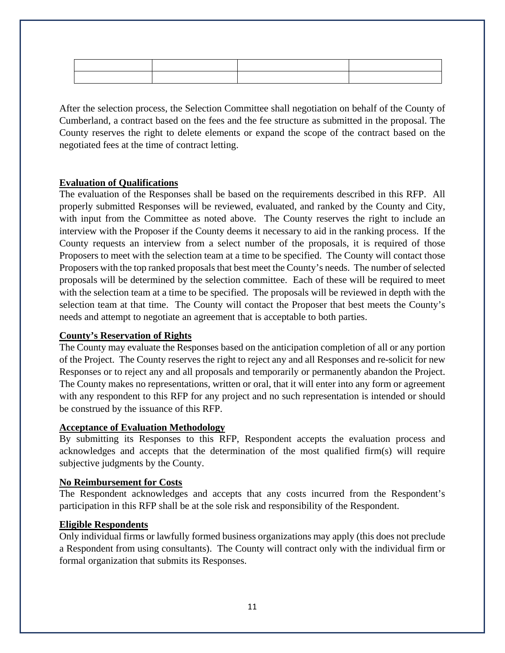After the selection process, the Selection Committee shall negotiation on behalf of the County of Cumberland, a contract based on the fees and the fee structure as submitted in the proposal. The County reserves the right to delete elements or expand the scope of the contract based on the negotiated fees at the time of contract letting.

#### **Evaluation of Qualifications**

The evaluation of the Responses shall be based on the requirements described in this RFP. All properly submitted Responses will be reviewed, evaluated, and ranked by the County and City, with input from the Committee as noted above. The County reserves the right to include an interview with the Proposer if the County deems it necessary to aid in the ranking process. If the County requests an interview from a select number of the proposals, it is required of those Proposers to meet with the selection team at a time to be specified. The County will contact those Proposers with the top ranked proposals that best meet the County's needs. The number of selected proposals will be determined by the selection committee. Each of these will be required to meet with the selection team at a time to be specified. The proposals will be reviewed in depth with the selection team at that time. The County will contact the Proposer that best meets the County's needs and attempt to negotiate an agreement that is acceptable to both parties.

#### **County's Reservation of Rights**

The County may evaluate the Responses based on the anticipation completion of all or any portion of the Project. The County reserves the right to reject any and all Responses and re-solicit for new Responses or to reject any and all proposals and temporarily or permanently abandon the Project. The County makes no representations, written or oral, that it will enter into any form or agreement with any respondent to this RFP for any project and no such representation is intended or should be construed by the issuance of this RFP.

#### **Acceptance of Evaluation Methodology**

By submitting its Responses to this RFP, Respondent accepts the evaluation process and acknowledges and accepts that the determination of the most qualified firm(s) will require subjective judgments by the County.

## **No Reimbursement for Costs**

The Respondent acknowledges and accepts that any costs incurred from the Respondent's participation in this RFP shall be at the sole risk and responsibility of the Respondent.

#### **Eligible Respondents**

Only individual firms or lawfully formed business organizations may apply (this does not preclude a Respondent from using consultants). The County will contract only with the individual firm or formal organization that submits its Responses.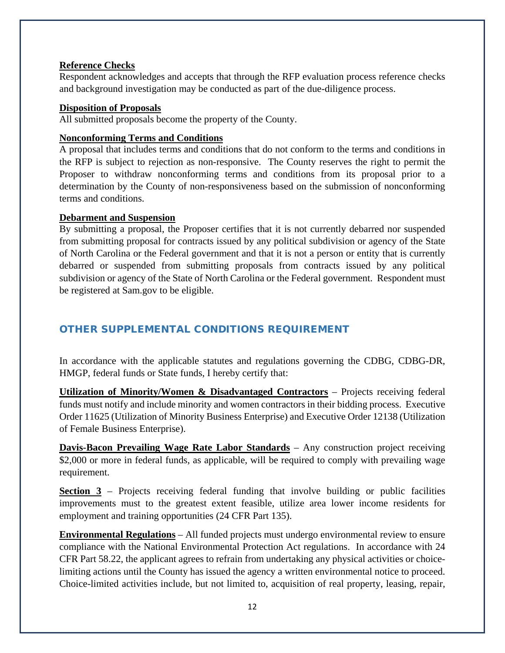## **Reference Checks**

Respondent acknowledges and accepts that through the RFP evaluation process reference checks and background investigation may be conducted as part of the due-diligence process.

#### **Disposition of Proposals**

All submitted proposals become the property of the County.

#### **Nonconforming Terms and Conditions**

A proposal that includes terms and conditions that do not conform to the terms and conditions in the RFP is subject to rejection as non-responsive. The County reserves the right to permit the Proposer to withdraw nonconforming terms and conditions from its proposal prior to a determination by the County of non-responsiveness based on the submission of nonconforming terms and conditions.

#### **Debarment and Suspension**

By submitting a proposal, the Proposer certifies that it is not currently debarred nor suspended from submitting proposal for contracts issued by any political subdivision or agency of the State of North Carolina or the Federal government and that it is not a person or entity that is currently debarred or suspended from submitting proposals from contracts issued by any political subdivision or agency of the State of North Carolina or the Federal government. Respondent must be registered at Sam.gov to be eligible.

# <span id="page-11-0"></span>OTHER SUPPLEMENTAL CONDITIONS REQUIREMENT

In accordance with the applicable statutes and regulations governing the CDBG, CDBG-DR, HMGP, federal funds or State funds, I hereby certify that:

**Utilization of Minority/Women & Disadvantaged Contractors** – Projects receiving federal funds must notify and include minority and women contractors in their bidding process. Executive Order 11625 (Utilization of Minority Business Enterprise) and Executive Order 12138 (Utilization of Female Business Enterprise).

**Davis-Bacon Prevailing Wage Rate Labor Standards** – Any construction project receiving \$2,000 or more in federal funds, as applicable, will be required to comply with prevailing wage requirement.

**Section 3** – Projects receiving federal funding that involve building or public facilities improvements must to the greatest extent feasible, utilize area lower income residents for employment and training opportunities (24 CFR Part 135).

**Environmental Regulations** – All funded projects must undergo environmental review to ensure compliance with the National Environmental Protection Act regulations. In accordance with 24 CFR Part 58.22, the applicant agrees to refrain from undertaking any physical activities or choicelimiting actions until the County has issued the agency a written environmental notice to proceed. Choice-limited activities include, but not limited to, acquisition of real property, leasing, repair,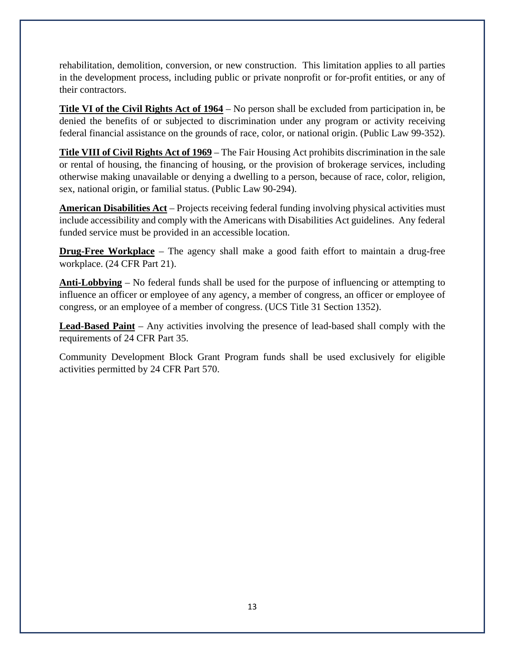rehabilitation, demolition, conversion, or new construction. This limitation applies to all parties in the development process, including public or private nonprofit or for-profit entities, or any of their contractors.

**Title VI of the Civil Rights Act of 1964** – No person shall be excluded from participation in, be denied the benefits of or subjected to discrimination under any program or activity receiving federal financial assistance on the grounds of race, color, or national origin. (Public Law 99-352).

**Title VIII of Civil Rights Act of 1969** – The Fair Housing Act prohibits discrimination in the sale or rental of housing, the financing of housing, or the provision of brokerage services, including otherwise making unavailable or denying a dwelling to a person, because of race, color, religion, sex, national origin, or familial status. (Public Law 90-294).

**American Disabilities Act** – Projects receiving federal funding involving physical activities must include accessibility and comply with the Americans with Disabilities Act guidelines. Any federal funded service must be provided in an accessible location.

**Drug-Free Workplace** – The agency shall make a good faith effort to maintain a drug-free workplace. (24 CFR Part 21).

**Anti-Lobbying** – No federal funds shall be used for the purpose of influencing or attempting to influence an officer or employee of any agency, a member of congress, an officer or employee of congress, or an employee of a member of congress. (UCS Title 31 Section 1352).

**Lead-Based Paint** – Any activities involving the presence of lead-based shall comply with the requirements of 24 CFR Part 35.

Community Development Block Grant Program funds shall be used exclusively for eligible activities permitted by 24 CFR Part 570.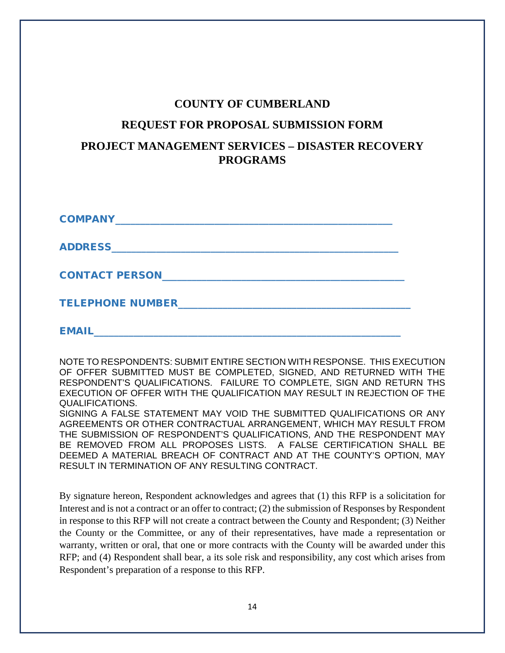# **COUNTY OF CUMBERLAND**

## **REQUEST FOR PROPOSAL SUBMISSION FORM**

# **PROJECT MANAGEMENT SERVICES – DISASTER RECOVERY PROGRAMS**

| <b>COMPANY_</b>         |
|-------------------------|
| <b>ADDRESS_</b>         |
| <b>CONTACT PERSON</b>   |
| <b>TELEPHONE NUMBER</b> |
| <b>EMAIL</b>            |

NOTE TO RESPONDENTS: SUBMIT ENTIRE SECTION WITH RESPONSE. THIS EXECUTION OF OFFER SUBMITTED MUST BE COMPLETED, SIGNED, AND RETURNED WITH THE RESPONDENT'S QUALIFICATIONS. FAILURE TO COMPLETE, SIGN AND RETURN THS EXECUTION OF OFFER WITH THE QUALIFICATION MAY RESULT IN REJECTION OF THE QUALIFICATIONS.

SIGNING A FALSE STATEMENT MAY VOID THE SUBMITTED QUALIFICATIONS OR ANY AGREEMENTS OR OTHER CONTRACTUAL ARRANGEMENT, WHICH MAY RESULT FROM THE SUBMISSION OF RESPONDENT'S QUALIFICATIONS, AND THE RESPONDENT MAY BE REMOVED FROM ALL PROPOSES LISTS. A FALSE CERTIFICATION SHALL BE DEEMED A MATERIAL BREACH OF CONTRACT AND AT THE COUNTY'S OPTION, MAY RESULT IN TERMINATION OF ANY RESULTING CONTRACT.

By signature hereon, Respondent acknowledges and agrees that (1) this RFP is a solicitation for Interest and is not a contract or an offer to contract; (2) the submission of Responses by Respondent in response to this RFP will not create a contract between the County and Respondent; (3) Neither the County or the Committee, or any of their representatives, have made a representation or warranty, written or oral, that one or more contracts with the County will be awarded under this RFP; and (4) Respondent shall bear, a its sole risk and responsibility, any cost which arises from Respondent's preparation of a response to this RFP.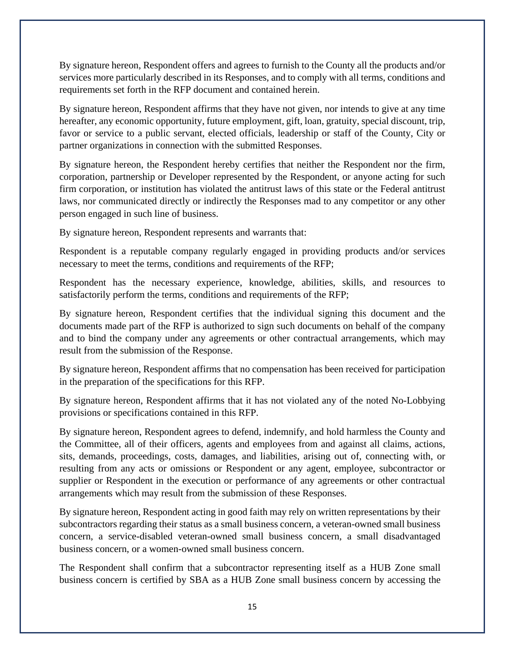By signature hereon, Respondent offers and agrees to furnish to the County all the products and/or services more particularly described in its Responses, and to comply with all terms, conditions and requirements set forth in the RFP document and contained herein.

By signature hereon, Respondent affirms that they have not given, nor intends to give at any time hereafter, any economic opportunity, future employment, gift, loan, gratuity, special discount, trip, favor or service to a public servant, elected officials, leadership or staff of the County, City or partner organizations in connection with the submitted Responses.

By signature hereon, the Respondent hereby certifies that neither the Respondent nor the firm, corporation, partnership or Developer represented by the Respondent, or anyone acting for such firm corporation, or institution has violated the antitrust laws of this state or the Federal antitrust laws, nor communicated directly or indirectly the Responses mad to any competitor or any other person engaged in such line of business.

By signature hereon, Respondent represents and warrants that:

Respondent is a reputable company regularly engaged in providing products and/or services necessary to meet the terms, conditions and requirements of the RFP;

Respondent has the necessary experience, knowledge, abilities, skills, and resources to satisfactorily perform the terms, conditions and requirements of the RFP;

By signature hereon, Respondent certifies that the individual signing this document and the documents made part of the RFP is authorized to sign such documents on behalf of the company and to bind the company under any agreements or other contractual arrangements, which may result from the submission of the Response.

By signature hereon, Respondent affirms that no compensation has been received for participation in the preparation of the specifications for this RFP.

By signature hereon, Respondent affirms that it has not violated any of the noted No-Lobbying provisions or specifications contained in this RFP.

By signature hereon, Respondent agrees to defend, indemnify, and hold harmless the County and the Committee, all of their officers, agents and employees from and against all claims, actions, sits, demands, proceedings, costs, damages, and liabilities, arising out of, connecting with, or resulting from any acts or omissions or Respondent or any agent, employee, subcontractor or supplier or Respondent in the execution or performance of any agreements or other contractual arrangements which may result from the submission of these Responses.

By signature hereon, Respondent acting in good faith may rely on written representations by their subcontractors regarding their status as a small business concern, a veteran-owned small business concern, a service-disabled veteran-owned small business concern, a small disadvantaged business concern, or a women-owned small business concern.

The Respondent shall confirm that a subcontractor representing itself as a HUB Zone small business concern is certified by SBA as a HUB Zone small business concern by accessing the